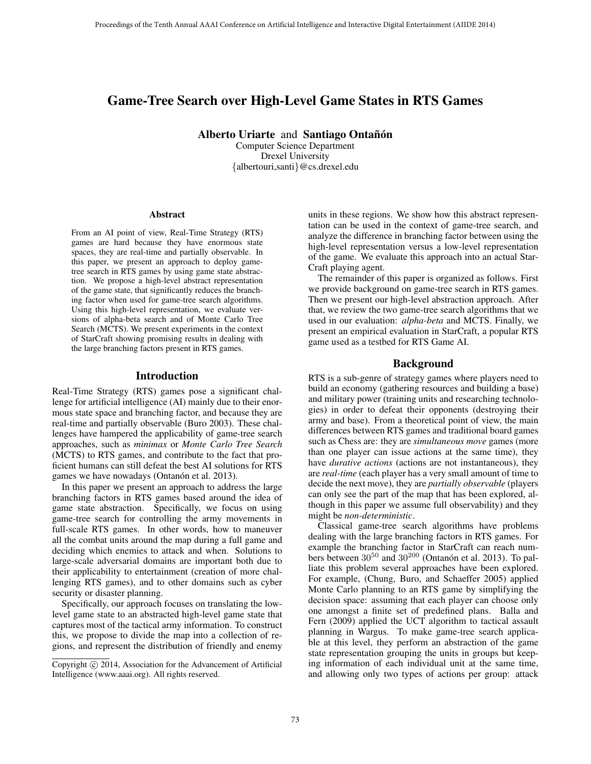# Game-Tree Search over High-Level Game States in RTS Games

Alberto Uriarte and Santiago Ontañón

Computer Science Department Drexel University {albertouri,santi}@cs.drexel.edu

#### Abstract

From an AI point of view, Real-Time Strategy (RTS) games are hard because they have enormous state spaces, they are real-time and partially observable. In this paper, we present an approach to deploy gametree search in RTS games by using game state abstraction. We propose a high-level abstract representation of the game state, that significantly reduces the branching factor when used for game-tree search algorithms. Using this high-level representation, we evaluate versions of alpha-beta search and of Monte Carlo Tree Search (MCTS). We present experiments in the context of StarCraft showing promising results in dealing with the large branching factors present in RTS games.

### Introduction

Real-Time Strategy (RTS) games pose a significant challenge for artificial intelligence (AI) mainly due to their enormous state space and branching factor, and because they are real-time and partially observable (Buro 2003). These challenges have hampered the applicability of game-tree search approaches, such as *minimax* or *Monte Carlo Tree Search* (MCTS) to RTS games, and contribute to the fact that proficient humans can still defeat the best AI solutions for RTS games we have nowadays (Ontanón et al. 2013).

In this paper we present an approach to address the large branching factors in RTS games based around the idea of game state abstraction. Specifically, we focus on using game-tree search for controlling the army movements in full-scale RTS games. In other words, how to maneuver all the combat units around the map during a full game and deciding which enemies to attack and when. Solutions to large-scale adversarial domains are important both due to their applicability to entertainment (creation of more challenging RTS games), and to other domains such as cyber security or disaster planning.

Specifically, our approach focuses on translating the lowlevel game state to an abstracted high-level game state that captures most of the tactical army information. To construct this, we propose to divide the map into a collection of regions, and represent the distribution of friendly and enemy

units in these regions. We show how this abstract representation can be used in the context of game-tree search, and analyze the difference in branching factor between using the high-level representation versus a low-level representation of the game. We evaluate this approach into an actual Star-Craft playing agent.

The remainder of this paper is organized as follows. First we provide background on game-tree search in RTS games. Then we present our high-level abstraction approach. After that, we review the two game-tree search algorithms that we used in our evaluation: *alpha-beta* and MCTS. Finally, we present an empirical evaluation in StarCraft, a popular RTS game used as a testbed for RTS Game AI.

#### Background

RTS is a sub-genre of strategy games where players need to build an economy (gathering resources and building a base) and military power (training units and researching technologies) in order to defeat their opponents (destroying their army and base). From a theoretical point of view, the main differences between RTS games and traditional board games such as Chess are: they are *simultaneous move* games (more than one player can issue actions at the same time), they have *durative actions* (actions are not instantaneous), they are *real-time* (each player has a very small amount of time to decide the next move), they are *partially observable* (players can only see the part of the map that has been explored, although in this paper we assume full observability) and they might be *non-deterministic*.

Classical game-tree search algorithms have problems dealing with the large branching factors in RTS games. For example the branching factor in StarCraft can reach numbers between  $30^{50}$  and  $30^{200}$  (Ontanón et al. 2013). To palliate this problem several approaches have been explored. For example, (Chung, Buro, and Schaeffer 2005) applied Monte Carlo planning to an RTS game by simplifying the decision space: assuming that each player can choose only one amongst a finite set of predefined plans. Balla and Fern (2009) applied the UCT algorithm to tactical assault planning in Wargus. To make game-tree search applicable at this level, they perform an abstraction of the game state representation grouping the units in groups but keeping information of each individual unit at the same time, and allowing only two types of actions per group: attack

Copyright © 2014, Association for the Advancement of Artificial Intelligence (www.aaai.org). All rights reserved.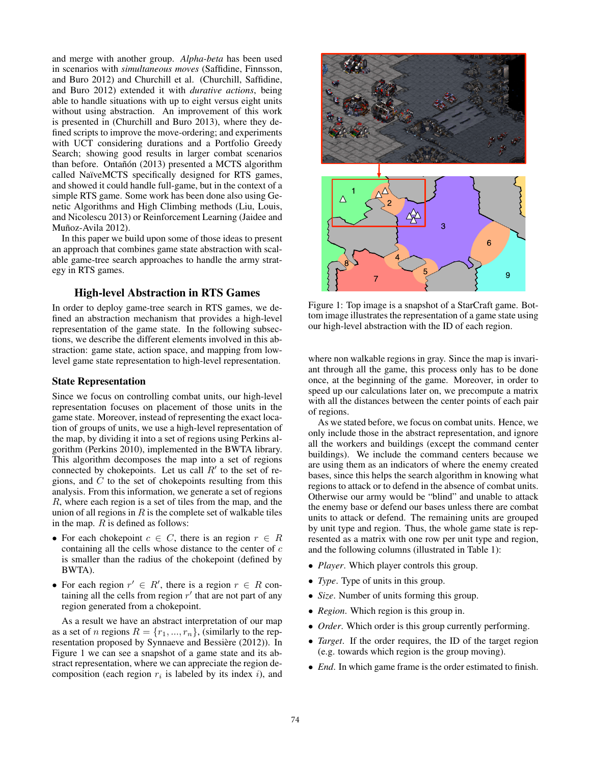and merge with another group. *Alpha-beta* has been used in scenarios with *simultaneous moves* (Saffidine, Finnsson, and Buro 2012) and Churchill et al. (Churchill, Saffidine, and Buro 2012) extended it with *durative actions*, being able to handle situations with up to eight versus eight units without using abstraction. An improvement of this work is presented in (Churchill and Buro 2013), where they defined scripts to improve the move-ordering; and experiments with UCT considering durations and a Portfolio Greedy Search; showing good results in larger combat scenarios than before. Ontañón (2013) presented a MCTS algorithm called NaïveMCTS specifically designed for RTS games, and showed it could handle full-game, but in the context of a simple RTS game. Some work has been done also using Genetic Algorithms and High Climbing methods (Liu, Louis, and Nicolescu 2013) or Reinforcement Learning (Jaidee and Muñoz-Avila 2012).

In this paper we build upon some of those ideas to present an approach that combines game state abstraction with scalable game-tree search approaches to handle the army strategy in RTS games.

# High-level Abstraction in RTS Games

In order to deploy game-tree search in RTS games, we defined an abstraction mechanism that provides a high-level representation of the game state. In the following subsections, we describe the different elements involved in this abstraction: game state, action space, and mapping from lowlevel game state representation to high-level representation.

#### State Representation

Since we focus on controlling combat units, our high-level representation focuses on placement of those units in the game state. Moreover, instead of representing the exact location of groups of units, we use a high-level representation of the map, by dividing it into a set of regions using Perkins algorithm (Perkins 2010), implemented in the BWTA library. This algorithm decomposes the map into a set of regions connected by chokepoints. Let us call  $R'$  to the set of regions, and  $C$  to the set of chokepoints resulting from this analysis. From this information, we generate a set of regions R, where each region is a set of tiles from the map, and the union of all regions in  $R$  is the complete set of walkable tiles in the map.  $R$  is defined as follows:

- For each chokepoint  $c \in C$ , there is an region  $r \in R$ containing all the cells whose distance to the center of c is smaller than the radius of the chokepoint (defined by BWTA).
- For each region  $r' \in R'$ , there is a region  $r \in R$  containing all the cells from region  $r'$  that are not part of any region generated from a chokepoint.

As a result we have an abstract interpretation of our map as a set of *n* regions  $R = \{r_1, ..., r_n\}$ , (similarly to the representation proposed by Synnaeve and Bessière (2012)). In Figure 1 we can see a snapshot of a game state and its abstract representation, where we can appreciate the region decomposition (each region  $r_i$  is labeled by its index i), and



Figure 1: Top image is a snapshot of a StarCraft game. Bottom image illustrates the representation of a game state using our high-level abstraction with the ID of each region.

where non walkable regions in gray. Since the map is invariant through all the game, this process only has to be done once, at the beginning of the game. Moreover, in order to speed up our calculations later on, we precompute a matrix with all the distances between the center points of each pair of regions.

As we stated before, we focus on combat units. Hence, we only include those in the abstract representation, and ignore all the workers and buildings (except the command center buildings). We include the command centers because we are using them as an indicators of where the enemy created bases, since this helps the search algorithm in knowing what regions to attack or to defend in the absence of combat units. Otherwise our army would be "blind" and unable to attack the enemy base or defend our bases unless there are combat units to attack or defend. The remaining units are grouped by unit type and region. Thus, the whole game state is represented as a matrix with one row per unit type and region, and the following columns (illustrated in Table 1):

- *Player*. Which player controls this group.
- *Type*. Type of units in this group.
- *Size*. Number of units forming this group.
- *Region*. Which region is this group in.
- *Order*. Which order is this group currently performing.
- *Target*. If the order requires, the ID of the target region (e.g. towards which region is the group moving).
- *End*. In which game frame is the order estimated to finish.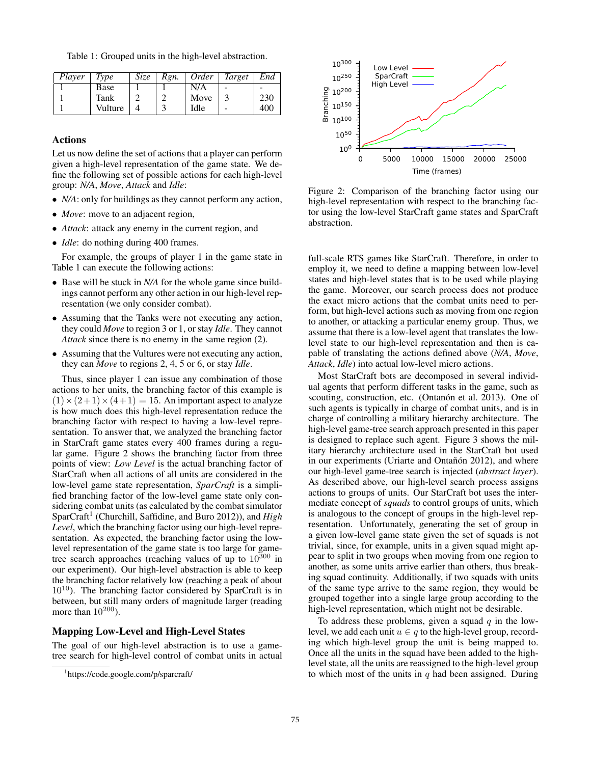Table 1: Grouped units in the high-level abstraction.

| Player | Type    | <i>Size</i> | Rgn. | Order | Target | End |
|--------|---------|-------------|------|-------|--------|-----|
|        | Base    |             |      | N/A   |        |     |
|        | Tank    |             |      | Move  |        | 230 |
|        | Vulture |             |      | Idle  |        | 400 |

### Actions

Let us now define the set of actions that a player can perform given a high-level representation of the game state. We define the following set of possible actions for each high-level group: *N/A*, *Move*, *Attack* and *Idle*:

- *N/A*: only for buildings as they cannot perform any action,
- *Move*: move to an adjacent region,
- *Attack*: attack any enemy in the current region, and
- *Idle*: do nothing during 400 frames.

For example, the groups of player 1 in the game state in Table 1 can execute the following actions:

- Base will be stuck in *N/A* for the whole game since buildings cannot perform any other action in our high-level representation (we only consider combat).
- Assuming that the Tanks were not executing any action, they could *Move* to region 3 or 1, or stay *Idle*. They cannot *Attack* since there is no enemy in the same region (2).
- Assuming that the Vultures were not executing any action, they can *Move* to regions 2, 4, 5 or 6, or stay *Idle*.

Thus, since player 1 can issue any combination of those actions to her units, the branching factor of this example is  $(1) \times (2+1) \times (4+1) = 15$ . An important aspect to analyze is how much does this high-level representation reduce the branching factor with respect to having a low-level representation. To answer that, we analyzed the branching factor in StarCraft game states every 400 frames during a regular game. Figure 2 shows the branching factor from three points of view: *Low Level* is the actual branching factor of StarCraft when all actions of all units are considered in the low-level game state representation, *SparCraft* is a simplified branching factor of the low-level game state only considering combat units (as calculated by the combat simulator SparCraft<sup>1</sup> (Churchill, Saffidine, and Buro 2012)), and *High Level*, which the branching factor using our high-level representation. As expected, the branching factor using the lowlevel representation of the game state is too large for gametree search approaches (reaching values of up to  $10^{300}$  in our experiment). Our high-level abstraction is able to keep the branching factor relatively low (reaching a peak of about  $10^{10}$ ). The branching factor considered by SparCraft is in between, but still many orders of magnitude larger (reading more than  $10^{200}$ ).

### Mapping Low-Level and High-Level States

The goal of our high-level abstraction is to use a gametree search for high-level control of combat units in actual



Figure 2: Comparison of the branching factor using our high-level representation with respect to the branching factor using the low-level StarCraft game states and SparCraft abstraction.

full-scale RTS games like StarCraft. Therefore, in order to employ it, we need to define a mapping between low-level states and high-level states that is to be used while playing the game. Moreover, our search process does not produce the exact micro actions that the combat units need to perform, but high-level actions such as moving from one region to another, or attacking a particular enemy group. Thus, we assume that there is a low-level agent that translates the lowlevel state to our high-level representation and then is capable of translating the actions defined above (*N/A*, *Move*, *Attack*, *Idle*) into actual low-level micro actions.

Most StarCraft bots are decomposed in several individual agents that perform different tasks in the game, such as scouting, construction, etc. (Ontanón et al. 2013). One of such agents is typically in charge of combat units, and is in charge of controlling a military hierarchy architecture. The high-level game-tree search approach presented in this paper is designed to replace such agent. Figure 3 shows the military hierarchy architecture used in the StarCraft bot used in our experiments (Uriarte and Ontañón 2012), and where our high-level game-tree search is injected (*abstract layer*). As described above, our high-level search process assigns actions to groups of units. Our StarCraft bot uses the intermediate concept of *squads* to control groups of units, which is analogous to the concept of groups in the high-level representation. Unfortunately, generating the set of group in a given low-level game state given the set of squads is not trivial, since, for example, units in a given squad might appear to split in two groups when moving from one region to another, as some units arrive earlier than others, thus breaking squad continuity. Additionally, if two squads with units of the same type arrive to the same region, they would be grouped together into a single large group according to the high-level representation, which might not be desirable.

To address these problems, given a squad  $q$  in the lowlevel, we add each unit  $u \in q$  to the high-level group, recording which high-level group the unit is being mapped to. Once all the units in the squad have been added to the highlevel state, all the units are reassigned to the high-level group to which most of the units in  $q$  had been assigned. During

<sup>1</sup> https://code.google.com/p/sparcraft/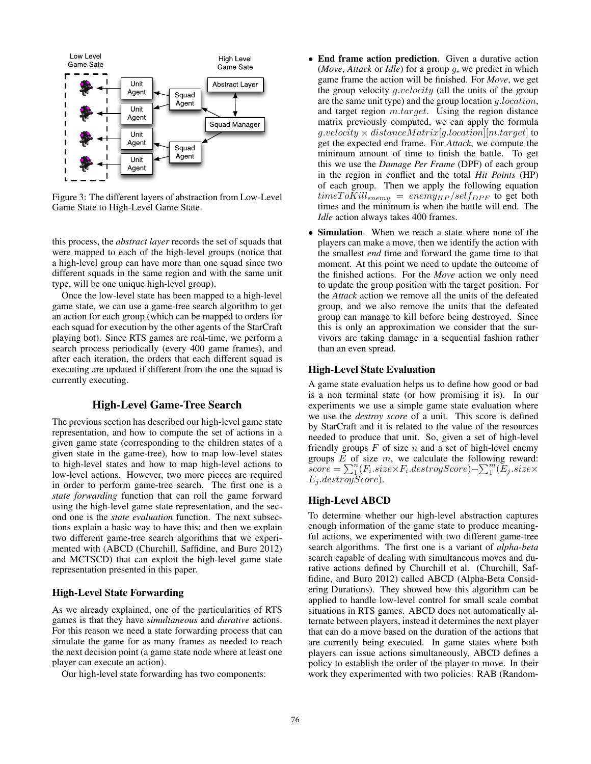

Figure 3: The different layers of abstraction from Low-Level Game State to High-Level Game State.

this process, the *abstract layer* records the set of squads that were mapped to each of the high-level groups (notice that a high-level group can have more than one squad since two different squads in the same region and with the same unit type, will be one unique high-level group).

Once the low-level state has been mapped to a high-level game state, we can use a game-tree search algorithm to get an action for each group (which can be mapped to orders for each squad for execution by the other agents of the StarCraft playing bot). Since RTS games are real-time, we perform a search process periodically (every 400 game frames), and after each iteration, the orders that each different squad is executing are updated if different from the one the squad is currently executing.

### High-Level Game-Tree Search

The previous section has described our high-level game state representation, and how to compute the set of actions in a given game state (corresponding to the children states of a given state in the game-tree), how to map low-level states to high-level states and how to map high-level actions to low-level actions. However, two more pieces are required in order to perform game-tree search. The first one is a *state forwarding* function that can roll the game forward using the high-level game state representation, and the second one is the *state evaluation* function. The next subsections explain a basic way to have this; and then we explain two different game-tree search algorithms that we experimented with (ABCD (Churchill, Saffidine, and Buro 2012) and MCTSCD) that can exploit the high-level game state representation presented in this paper.

### High-Level State Forwarding

As we already explained, one of the particularities of RTS games is that they have *simultaneous* and *durative* actions. For this reason we need a state forwarding process that can simulate the game for as many frames as needed to reach the next decision point (a game state node where at least one player can execute an action).

Our high-level state forwarding has two components:

- End frame action prediction. Given a durative action (*Move*, *Attack* or *Idle*) for a group g, we predict in which game frame the action will be finished. For *Move*, we get the group velocity  $g.velocity$  (all the units of the group are the same unit type) and the group location  $g$ . *location*, and target region m.target. Using the region distance matrix previously computed, we can apply the formula  $g.velocity \times distanceMatrix[g.location][m.target]$  to get the expected end frame. For *Attack*, we compute the minimum amount of time to finish the battle. To get this we use the *Damage Per Frame* (DPF) of each group in the region in conflict and the total *Hit Points* (HP) of each group. Then we apply the following equation  $timeToKill_{enemy} = enemy_{HP}/self_{DPF}$  to get both times and the minimum is when the battle will end. The *Idle* action always takes 400 frames.
- Simulation. When we reach a state where none of the players can make a move, then we identify the action with the smallest *end* time and forward the game time to that moment. At this point we need to update the outcome of the finished actions. For the *Move* action we only need to update the group position with the target position. For the *Attack* action we remove all the units of the defeated group, and we also remove the units that the defeated group can manage to kill before being destroyed. Since this is only an approximation we consider that the survivors are taking damage in a sequential fashion rather than an even spread.

#### High-Level State Evaluation

A game state evaluation helps us to define how good or bad is a non terminal state (or how promising it is). In our experiments we use a simple game state evaluation where we use the *destroy score* of a unit. This score is defined by StarCraft and it is related to the value of the resources needed to produce that unit. So, given a set of high-level friendly groups  $F$  of size  $n$  and a set of high-level enemy groups  $E$  of size  $m$ , we calculate the following reward:  $score = \sum_{1}^{n} (F_i.size \times F_iव) score) - \sum_{1}^{m} (E_j.size \times$  $E_i$ .destroy $Score$ ).

### High-Level ABCD

To determine whether our high-level abstraction captures enough information of the game state to produce meaningful actions, we experimented with two different game-tree search algorithms. The first one is a variant of *alpha-beta* search capable of dealing with simultaneous moves and durative actions defined by Churchill et al. (Churchill, Saffidine, and Buro 2012) called ABCD (Alpha-Beta Considering Durations). They showed how this algorithm can be applied to handle low-level control for small scale combat situations in RTS games. ABCD does not automatically alternate between players, instead it determines the next player that can do a move based on the duration of the actions that are currently being executed. In game states where both players can issue actions simultaneously, ABCD defines a policy to establish the order of the player to move. In their work they experimented with two policies: RAB (Random-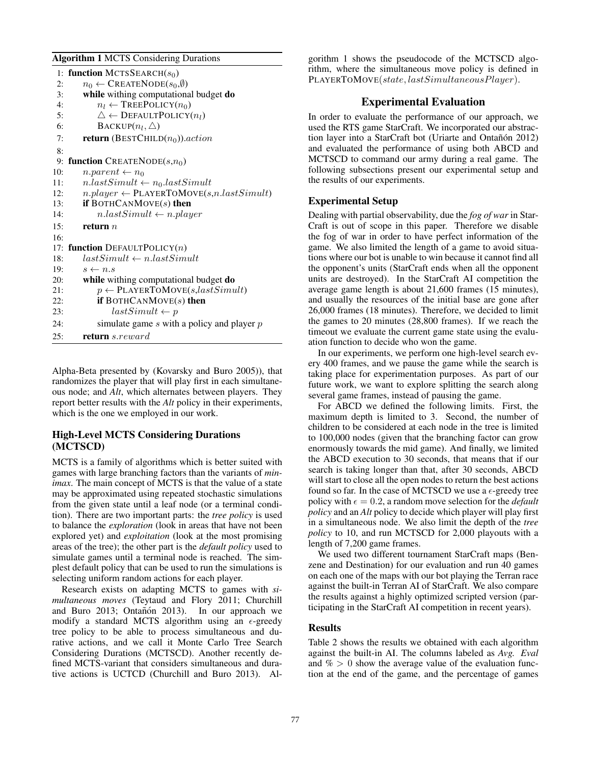#### Algorithm 1 MCTS Considering Durations

|     | 1: function MCTSSEARCH $(s_0)$                             |  |  |  |  |  |
|-----|------------------------------------------------------------|--|--|--|--|--|
| 2:  | $n_0 \leftarrow$ CREATENODE( $s_0$ , $\emptyset$ )         |  |  |  |  |  |
| 3:  | while withing computational budget do                      |  |  |  |  |  |
| 4:  | $n_l \leftarrow$ TREEPOLICY $(n_0)$                        |  |  |  |  |  |
| 5:  | $\triangle \leftarrow$ DEFAULTPOLICY $(n_l)$               |  |  |  |  |  |
| 6:  | $\text{BACKUP}(n_l, \triangle)$                            |  |  |  |  |  |
| 7:  | <b>return</b> (BESTCHILD $(n_0)$ ). <i>action</i>          |  |  |  |  |  |
| 8:  |                                                            |  |  |  |  |  |
| 9:  | function CREATENODE $(s, n_0)$                             |  |  |  |  |  |
| 10: | $n.parent \leftarrow n_0$                                  |  |  |  |  |  |
| 11: | $n. last Simult \leftarrow n_0. last Simult$               |  |  |  |  |  |
| 12: | $n-player \leftarrow \text{PLAYERToMove}(s, n-lastSimult)$ |  |  |  |  |  |
| 13: | if BOTHCANMOVE $(s)$ then                                  |  |  |  |  |  |
| 14: | $n. last Simult \leftarrow n. player$                      |  |  |  |  |  |
| 15: | return $n$                                                 |  |  |  |  |  |
| 16: |                                                            |  |  |  |  |  |
|     | 17: function DEFAULTPOLICY $(n)$                           |  |  |  |  |  |
| 18: | $lastSimult \leftarrow n-lastSimult$                       |  |  |  |  |  |
| 19: | $s \leftarrow n.s$                                         |  |  |  |  |  |
| 20: | while withing computational budget do                      |  |  |  |  |  |
| 21: | $p \leftarrow$ PLAYERTOMOVE(s, last Simult)                |  |  |  |  |  |
| 22: | <b>if</b> BOTHCANMOVE $(s)$ then                           |  |  |  |  |  |
| 23: | $lastSimult \leftarrow p$                                  |  |  |  |  |  |
| 24: | simulate game $s$ with a policy and player $p$             |  |  |  |  |  |
| 25: | <b>return</b> s.reward                                     |  |  |  |  |  |

Alpha-Beta presented by (Kovarsky and Buro 2005)), that randomizes the player that will play first in each simultaneous node; and *Alt*, which alternates between players. They report better results with the *Alt* policy in their experiments, which is the one we employed in our work.

# High-Level MCTS Considering Durations (MCTSCD)

MCTS is a family of algorithms which is better suited with games with large branching factors than the variants of *minimax*. The main concept of MCTS is that the value of a state may be approximated using repeated stochastic simulations from the given state until a leaf node (or a terminal condition). There are two important parts: the *tree policy* is used to balance the *exploration* (look in areas that have not been explored yet) and *exploitation* (look at the most promising areas of the tree); the other part is the *default policy* used to simulate games until a terminal node is reached. The simplest default policy that can be used to run the simulations is selecting uniform random actions for each player.

Research exists on adapting MCTS to games with *simultaneous moves* (Teytaud and Flory 2011; Churchill and Buro 2013; Ontañón 2013). In our approach we modify a standard MCTS algorithm using an  $\epsilon$ -greedy tree policy to be able to process simultaneous and durative actions, and we call it Monte Carlo Tree Search Considering Durations (MCTSCD). Another recently defined MCTS-variant that considers simultaneous and durative actions is UCTCD (Churchill and Buro 2013). Al-

gorithm 1 shows the pseudocode of the MCTSCD algorithm, where the simultaneous move policy is defined in PLAYERTOMOVE(state, lastSimultaneousPlayer).

### Experimental Evaluation

In order to evaluate the performance of our approach, we used the RTS game StarCraft. We incorporated our abstraction layer into a StarCraft bot (Uriarte and Ontañón 2012) and evaluated the performance of using both ABCD and MCTSCD to command our army during a real game. The following subsections present our experimental setup and the results of our experiments.

### Experimental Setup

Dealing with partial observability, due the *fog of war* in Star-Craft is out of scope in this paper. Therefore we disable the fog of war in order to have perfect information of the game. We also limited the length of a game to avoid situations where our bot is unable to win because it cannot find all the opponent's units (StarCraft ends when all the opponent units are destroyed). In the StarCraft AI competition the average game length is about 21,600 frames (15 minutes), and usually the resources of the initial base are gone after 26,000 frames (18 minutes). Therefore, we decided to limit the games to 20 minutes (28,800 frames). If we reach the timeout we evaluate the current game state using the evaluation function to decide who won the game.

In our experiments, we perform one high-level search every 400 frames, and we pause the game while the search is taking place for experimentation purposes. As part of our future work, we want to explore splitting the search along several game frames, instead of pausing the game.

For ABCD we defined the following limits. First, the maximum depth is limited to 3. Second, the number of children to be considered at each node in the tree is limited to 100,000 nodes (given that the branching factor can grow enormously towards the mid game). And finally, we limited the ABCD execution to 30 seconds, that means that if our search is taking longer than that, after 30 seconds, ABCD will start to close all the open nodes to return the best actions found so far. In the case of MCTSCD we use a  $\epsilon$ -greedy tree policy with  $\epsilon = 0.2$ , a random move selection for the *default policy* and an *Alt* policy to decide which player will play first in a simultaneous node. We also limit the depth of the *tree policy* to 10, and run MCTSCD for 2,000 playouts with a length of 7,200 game frames.

We used two different tournament StarCraft maps (Benzene and Destination) for our evaluation and run 40 games on each one of the maps with our bot playing the Terran race against the built-in Terran AI of StarCraft. We also compare the results against a highly optimized scripted version (participating in the StarCraft AI competition in recent years).

### Results

Table 2 shows the results we obtained with each algorithm against the built-in AI. The columns labeled as *Avg. Eval* and  $\% > 0$  show the average value of the evaluation function at the end of the game, and the percentage of games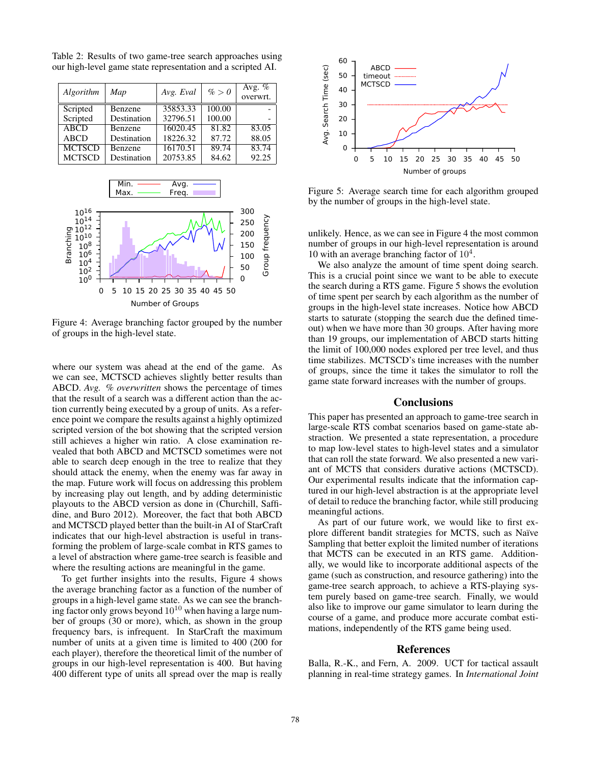| Algorithm     | Map         | Avg. Eval | % > 0  | Avg. $%$<br>overwrt. |
|---------------|-------------|-----------|--------|----------------------|
| Scripted      | Benzene     | 35853.33  | 100.00 |                      |
| Scripted      | Destination | 32796.51  | 100.00 |                      |
| <b>ABCD</b>   | Benzene     | 16020.45  | 81.82  | 83.05                |
| <b>ABCD</b>   | Destination | 18226.32  | 87.72  | 88.05                |
| <b>MCTSCD</b> | Benzene     | 16170.51  | 89.74  | 83.74                |
| <b>MCTSCD</b> | Destination | 20753.85  | 84.62  | 92.25                |

Table 2: Results of two game-tree search approaches using our high-level game state representation and a scripted AI.



Figure 4: Average branching factor grouped by the number of groups in the high-level state.

where our system was ahead at the end of the game. As we can see, MCTSCD achieves slightly better results than ABCD. *Avg. % overwritten* shows the percentage of times that the result of a search was a different action than the action currently being executed by a group of units. As a reference point we compare the results against a highly optimized scripted version of the bot showing that the scripted version still achieves a higher win ratio. A close examination revealed that both ABCD and MCTSCD sometimes were not able to search deep enough in the tree to realize that they should attack the enemy, when the enemy was far away in the map. Future work will focus on addressing this problem by increasing play out length, and by adding deterministic playouts to the ABCD version as done in (Churchill, Saffidine, and Buro 2012). Moreover, the fact that both ABCD and MCTSCD played better than the built-in AI of StarCraft indicates that our high-level abstraction is useful in transforming the problem of large-scale combat in RTS games to a level of abstraction where game-tree search is feasible and where the resulting actions are meaningful in the game.

To get further insights into the results, Figure 4 shows the average branching factor as a function of the number of groups in a high-level game state. As we can see the branching factor only grows beyond  $10^{10}$  when having a large number of groups (30 or more), which, as shown in the group frequency bars, is infrequent. In StarCraft the maximum number of units at a given time is limited to 400 (200 for each player), therefore the theoretical limit of the number of groups in our high-level representation is 400. But having 400 different type of units all spread over the map is really



Figure 5: Average search time for each algorithm grouped by the number of groups in the high-level state.

unlikely. Hence, as we can see in Figure 4 the most common number of groups in our high-level representation is around 10 with an average branching factor of 10<sup>4</sup> .

We also analyze the amount of time spent doing search. This is a crucial point since we want to be able to execute the search during a RTS game. Figure 5 shows the evolution of time spent per search by each algorithm as the number of groups in the high-level state increases. Notice how ABCD starts to saturate (stopping the search due the defined timeout) when we have more than 30 groups. After having more than 19 groups, our implementation of ABCD starts hitting the limit of 100,000 nodes explored per tree level, and thus time stabilizes. MCTSCD's time increases with the number of groups, since the time it takes the simulator to roll the game state forward increases with the number of groups.

#### **Conclusions**

This paper has presented an approach to game-tree search in large-scale RTS combat scenarios based on game-state abstraction. We presented a state representation, a procedure to map low-level states to high-level states and a simulator that can roll the state forward. We also presented a new variant of MCTS that considers durative actions (MCTSCD). Our experimental results indicate that the information captured in our high-level abstraction is at the appropriate level of detail to reduce the branching factor, while still producing meaningful actions.

As part of our future work, we would like to first explore different bandit strategies for MCTS, such as Naïve Sampling that better exploit the limited number of iterations that MCTS can be executed in an RTS game. Additionally, we would like to incorporate additional aspects of the game (such as construction, and resource gathering) into the game-tree search approach, to achieve a RTS-playing system purely based on game-tree search. Finally, we would also like to improve our game simulator to learn during the course of a game, and produce more accurate combat estimations, independently of the RTS game being used.

### **References**

Balla, R.-K., and Fern, A. 2009. UCT for tactical assault planning in real-time strategy games. In *International Joint*